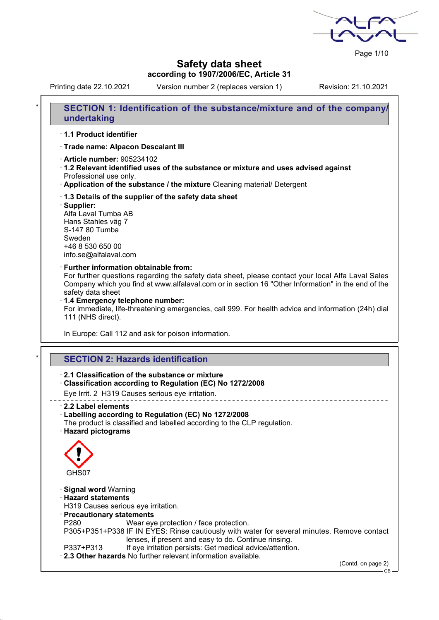Page 1/10

## **Safety data sheet according to 1907/2006/EC, Article 31**

Printing date 22.10.2021 Version number 2 (replaces version 1) Revision: 21.10.2021

| *<br>SECTION 1: Identification of the substance/mixture and of the company/<br>undertaking                                                                                                                                                                                                                                                                                                                                            |
|---------------------------------------------------------------------------------------------------------------------------------------------------------------------------------------------------------------------------------------------------------------------------------------------------------------------------------------------------------------------------------------------------------------------------------------|
| 1.1 Product identifier                                                                                                                                                                                                                                                                                                                                                                                                                |
| · Trade name: Alpacon Descalant III                                                                                                                                                                                                                                                                                                                                                                                                   |
| <b>Article number: 905234102</b><br>1.2 Relevant identified uses of the substance or mixture and uses advised against<br>Professional use only.<br>. Application of the substance / the mixture Cleaning material/ Detergent                                                                                                                                                                                                          |
| 1.3 Details of the supplier of the safety data sheet<br>· Supplier:<br>Alfa Laval Tumba AB<br>Hans Stahles väg 7<br>S-147 80 Tumba<br>Sweden<br>+46 8 530 650 00<br>info.se@alfalaval.com                                                                                                                                                                                                                                             |
| · Further information obtainable from:<br>For further questions regarding the safety data sheet, please contact your local Alfa Laval Sales<br>Company which you find at www.alfalaval.com or in section 16 "Other Information" in the end of the<br>safety data sheet<br>1.4 Emergency telephone number:<br>For immediate, life-threatening emergencies, call 999. For health advice and information (24h) dial<br>111 (NHS direct). |
| In Europe: Call 112 and ask for poison information.                                                                                                                                                                                                                                                                                                                                                                                   |
|                                                                                                                                                                                                                                                                                                                                                                                                                                       |
| ×<br><b>SECTION 2: Hazards identification</b>                                                                                                                                                                                                                                                                                                                                                                                         |
| 2.1 Classification of the substance or mixture<br>Classification according to Regulation (EC) No 1272/2008<br>Eye Irrit. 2 H319 Causes serious eye irritation.                                                                                                                                                                                                                                                                        |
| ________________________<br>2.2 Label elements<br>Labelling according to Regulation (EC) No 1272/2008<br>The product is classified and labelled according to the CLP regulation.<br><b>Hazard pictograms</b>                                                                                                                                                                                                                          |
| GHS07                                                                                                                                                                                                                                                                                                                                                                                                                                 |
| <b>Signal word Warning</b><br><b>Hazard statements</b><br>H319 Causes serious eye irritation.<br>· Precautionary statements<br>P280<br>Wear eye protection / face protection.                                                                                                                                                                                                                                                         |
| P305+P351+P338 IF IN EYES: Rinse cautiously with water for several minutes. Remove contact<br>lenses, if present and easy to do. Continue rinsing.<br>If eye irritation persists: Get medical advice/attention.<br>P337+P313                                                                                                                                                                                                          |
| 2.3 Other hazards No further relevant information available.                                                                                                                                                                                                                                                                                                                                                                          |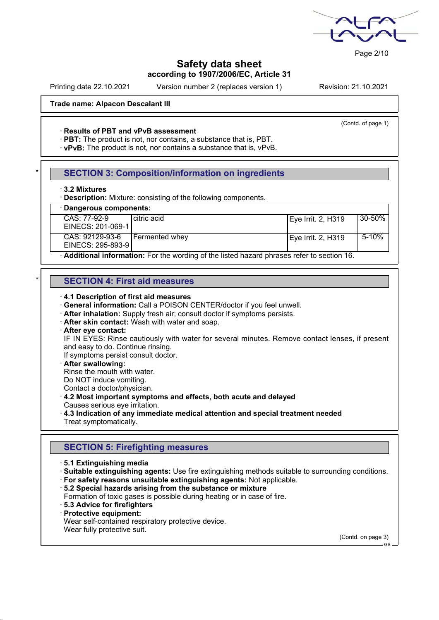

Page 2/10

## **Safety data sheet according to 1907/2006/EC, Article 31**

Printing date 22.10.2021 Version number 2 (replaces version 1) Revision: 21.10.2021

(Contd. of page 1)

### **Trade name: Alpacon Descalant III**

#### · **Results of PBT and vPvB assessment**

· **PBT:** The product is not, nor contains, a substance that is, PBT.

· **vPvB:** The product is not, nor contains a substance that is, vPvB.

### **SECTION 3: Composition/information on ingredients**

#### · **3.2 Mixtures**

· **Description:** Mixture: consisting of the following components.

# · **Dangerous components:**

| CAS: 77-92-9<br>EINECS: 201-069-1    | l citric acid                                                                             | Eye Irrit. 2, H319 | 30-50%    |
|--------------------------------------|-------------------------------------------------------------------------------------------|--------------------|-----------|
| CAS: 92129-93-6<br>EINECS: 295-893-9 | Fermented whev                                                                            | Eye Irrit. 2, H319 | $5 - 10%$ |
|                                      | Additional information: Far the werding of the listed because phropes refer to contien 16 |                    |           |

· **Additional information:** For the wording of the listed hazard phrases refer to section 16.

### \* **SECTION 4: First aid measures**

- · **4.1 Description of first aid measures**
- · **General information:** Call a POISON CENTER/doctor if you feel unwell.
- · **After inhalation:** Supply fresh air; consult doctor if symptoms persists.
- · **After skin contact:** Wash with water and soap.
- · **After eye contact:**

IF IN EYES: Rinse cautiously with water for several minutes. Remove contact lenses, if present and easy to do. Continue rinsing.

If symptoms persist consult doctor.

· **After swallowing:**

Rinse the mouth with water.

Do NOT induce vomiting.

Contact a doctor/physician.

## · **4.2 Most important symptoms and effects, both acute and delayed**

Causes serious eye irritation.

# · **4.3 Indication of any immediate medical attention and special treatment needed**

Treat symptomatically.

## **SECTION 5: Firefighting measures**

- · **5.1 Extinguishing media**
- · **Suitable extinguishing agents:** Use fire extinguishing methods suitable to surrounding conditions.
- · **For safety reasons unsuitable extinguishing agents:** Not applicable.
- · **5.2 Special hazards arising from the substance or mixture**

Formation of toxic gases is possible during heating or in case of fire.

- · **5.3 Advice for firefighters**
- · **Protective equipment:**

Wear self-contained respiratory protective device.

Wear fully protective suit.

(Contd. on page 3)

GB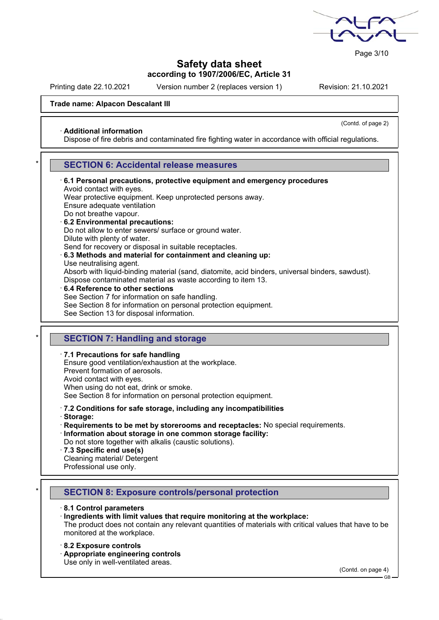

Page 3/10

## **Safety data sheet according to 1907/2006/EC, Article 31**

Printing date 22.10.2021 Version number 2 (replaces version 1) Revision: 21.10.2021

(Contd. of page 2)

### **Trade name: Alpacon Descalant III**

#### · **Additional information**

Dispose of fire debris and contaminated fire fighting water in accordance with official regulations.

### **SECTION 6: Accidental release measures**

· **6.1 Personal precautions, protective equipment and emergency procedures** Avoid contact with eyes. Wear protective equipment. Keep unprotected persons away. Ensure adequate ventilation Do not breathe vapour. · **6.2 Environmental precautions:** Do not allow to enter sewers/ surface or ground water. Dilute with plenty of water. Send for recovery or disposal in suitable receptacles. · **6.3 Methods and material for containment and cleaning up:** Use neutralising agent. Absorb with liquid-binding material (sand, diatomite, acid binders, universal binders, sawdust). Dispose contaminated material as waste according to item 13. · **6.4 Reference to other sections** See Section 7 for information on safe handling. See Section 8 for information on personal protection equipment.

See Section 13 for disposal information.

### **SECTION 7: Handling and storage**

· **7.1 Precautions for safe handling** Ensure good ventilation/exhaustion at the workplace.

Prevent formation of aerosols.

Avoid contact with eyes.

When using do not eat, drink or smoke.

See Section 8 for information on personal protection equipment.

### · **7.2 Conditions for safe storage, including any incompatibilities**

· **Storage:**

· **Requirements to be met by storerooms and receptacles:** No special requirements.

· **Information about storage in one common storage facility:**

Do not store together with alkalis (caustic solutions).

- · **7.3 Specific end use(s)**
- Cleaning material/ Detergent

Professional use only.

### \* **SECTION 8: Exposure controls/personal protection**

#### · **8.1 Control parameters**

#### · **Ingredients with limit values that require monitoring at the workplace:**

The product does not contain any relevant quantities of materials with critical values that have to be monitored at the workplace.

#### · **8.2 Exposure controls**

· **Appropriate engineering controls**

Use only in well-ventilated areas.

(Contd. on page 4)

GB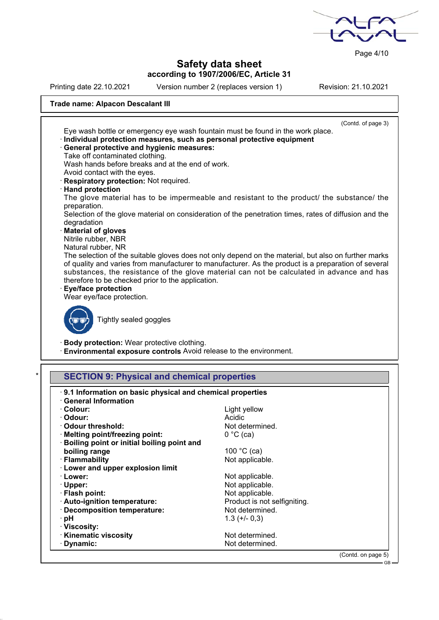

Page 4/10

GB

## **Safety data sheet according to 1907/2006/EC, Article 31**

Printing date 22.10.2021 Version number 2 (replaces version 1) Revision: 21.10.2021

## **Trade name: Alpacon Descalant III**

| (Contd. of page 3)                                                                                                                                                                                                                                                                                                                                                                                                       |
|--------------------------------------------------------------------------------------------------------------------------------------------------------------------------------------------------------------------------------------------------------------------------------------------------------------------------------------------------------------------------------------------------------------------------|
| Eye wash bottle or emergency eye wash fountain must be found in the work place.                                                                                                                                                                                                                                                                                                                                          |
| Individual protection measures, such as personal protective equipment                                                                                                                                                                                                                                                                                                                                                    |
| <b>General protective and hygienic measures:</b>                                                                                                                                                                                                                                                                                                                                                                         |
| Take off contaminated clothing.                                                                                                                                                                                                                                                                                                                                                                                          |
| Wash hands before breaks and at the end of work.                                                                                                                                                                                                                                                                                                                                                                         |
| Avoid contact with the eyes.                                                                                                                                                                                                                                                                                                                                                                                             |
| · Respiratory protection: Not required.                                                                                                                                                                                                                                                                                                                                                                                  |
| <b>Hand protection</b>                                                                                                                                                                                                                                                                                                                                                                                                   |
| The glove material has to be impermeable and resistant to the product/ the substance/ the<br>preparation.                                                                                                                                                                                                                                                                                                                |
| Selection of the glove material on consideration of the penetration times, rates of diffusion and the                                                                                                                                                                                                                                                                                                                    |
| degradation                                                                                                                                                                                                                                                                                                                                                                                                              |
| Material of gloves                                                                                                                                                                                                                                                                                                                                                                                                       |
| Nitrile rubber, NBR                                                                                                                                                                                                                                                                                                                                                                                                      |
| Natural rubber, NR                                                                                                                                                                                                                                                                                                                                                                                                       |
| The selection of the suitable gloves does not only depend on the material, but also on further marks<br>of quality and varies from manufacturer to manufacturer. As the product is a preparation of several<br>substances, the resistance of the glove material can not be calculated in advance and has<br>therefore to be checked prior to the application.<br><b>Eye/face protection</b><br>Wear eye/face protection. |
| Tightly sealed goggles                                                                                                                                                                                                                                                                                                                                                                                                   |
| <b>Body protection: Wear protective clothing.</b><br>Environmental exposure controls Avoid release to the environment.                                                                                                                                                                                                                                                                                                   |
| <b>SECTION 9: Physical and chemical properties</b>                                                                                                                                                                                                                                                                                                                                                                       |

| . 9.1 Information on basic physical and chemical properties<br><b>General Information</b> |                              |                    |
|-------------------------------------------------------------------------------------------|------------------------------|--------------------|
|                                                                                           |                              |                    |
| · Colour:                                                                                 | Light yellow                 |                    |
| · Odour:                                                                                  | Acidic                       |                    |
| Odour threshold:                                                                          | Not determined.              |                    |
| · Melting point/freezing point:                                                           | $0 °C$ (ca)                  |                    |
| · Boiling point or initial boiling point and                                              |                              |                    |
| boiling range                                                                             | 100 °C (ca)                  |                    |
| · Flammability                                                                            | Not applicable.              |                    |
| <b>Lower and upper explosion limit</b>                                                    |                              |                    |
| · Lower:                                                                                  | Not applicable.              |                    |
| $\cdot$ Upper:                                                                            | Not applicable.              |                    |
| · Flash point:                                                                            | Not applicable.              |                    |
| · Auto-ignition temperature:                                                              | Product is not selfigniting. |                    |
| · Decomposition temperature:                                                              | Not determined.              |                    |
| · pH                                                                                      | $1.3 (+/- 0.3)$              |                    |
| · Viscosity:                                                                              |                              |                    |
| · Kinematic viscosity                                                                     | Not determined.              |                    |
| · Dynamic:                                                                                | Not determined.              |                    |
|                                                                                           |                              | (Contd. on page 5) |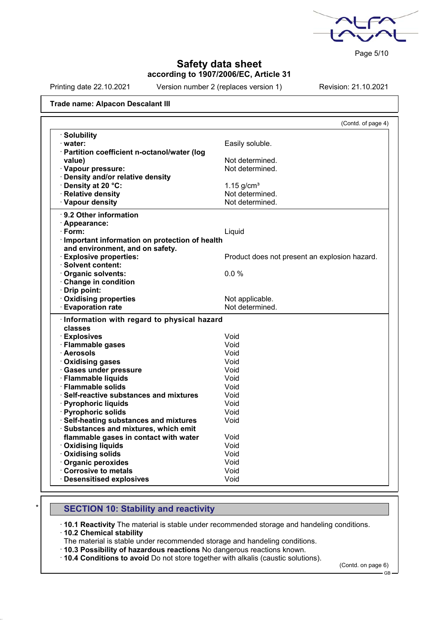

Page 5/10

## **Safety data sheet according to 1907/2006/EC, Article 31**

Printing date 22.10.2021 Version number 2 (replaces version 1) Revision: 21.10.2021

#### **Trade name: Alpacon Descalant III**

|                                                 | (Contd. of page 4)                            |
|-------------------------------------------------|-----------------------------------------------|
| · Solubility                                    |                                               |
| · water:                                        | Easily soluble.                               |
| · Partition coefficient n-octanol/water (log    |                                               |
| value)                                          | Not determined.                               |
| · Vapour pressure:                              | Not determined.                               |
| · Density and/or relative density               |                                               |
| · Density at 20 °C:                             | $1.15$ g/cm <sup>3</sup>                      |
| · Relative density                              | Not determined.                               |
| · Vapour density                                | Not determined.                               |
| $\cdot$ 9.2 Other information                   |                                               |
| · Appearance:                                   |                                               |
| · Form:                                         | Liquid                                        |
| · Important information on protection of health |                                               |
| and environment, and on safety.                 |                                               |
| <b>Explosive properties:</b>                    | Product does not present an explosion hazard. |
| · Solvent content:                              |                                               |
| Organic solvents:                               | 0.0%                                          |
| Change in condition                             |                                               |
| · Drip point:                                   |                                               |
| · Oxidising properties                          | Not applicable.                               |
| <b>Evaporation rate</b>                         | Not determined.                               |
| · Information with regard to physical hazard    |                                               |
| classes                                         |                                               |
| · Explosives                                    | Void                                          |
| · Flammable gases                               | Void                                          |
| · Aerosols                                      | Void                                          |
| · Oxidising gases                               | Void                                          |
| · Gases under pressure                          | Void                                          |
| · Flammable liquids                             | Void                                          |
| · Flammable solids                              | Void                                          |
| · Self-reactive substances and mixtures         | Void                                          |
| · Pyrophoric liquids                            | Void                                          |
| · Pyrophoric solids                             | Void                                          |
| · Self-heating substances and mixtures          | Void                                          |
| · Substances and mixtures, which emit           |                                               |
| flammable gases in contact with water           | Void                                          |
| · Oxidising liquids                             | Void                                          |
| · Oxidising solids                              | Void                                          |
| · Organic peroxides                             | Void                                          |
| Corrosive to metals                             | Void                                          |
| · Desensitised explosives                       | Void                                          |

## **SECTION 10: Stability and reactivity**

· **10.1 Reactivity** The material is stable under recommended storage and handeling conditions.

· **10.2 Chemical stability**

The material is stable under recommended storage and handeling conditions.

· **10.3 Possibility of hazardous reactions** No dangerous reactions known.

· **10.4 Conditions to avoid** Do not store together with alkalis (caustic solutions).

(Contd. on page 6)

GB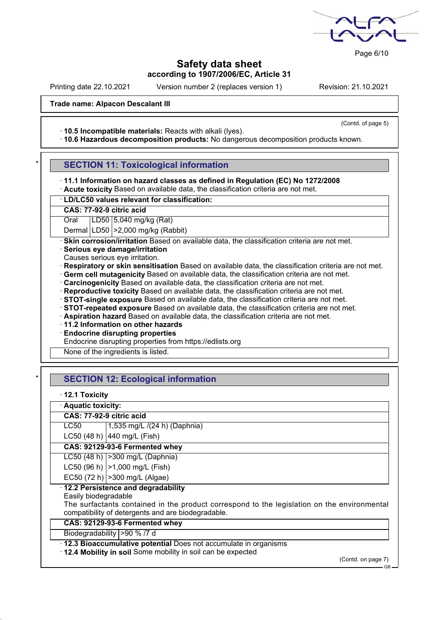

Page 6/10

### **Safety data sheet according to 1907/2006/EC, Article 31**

Printing date 22.10.2021 Version number 2 (replaces version 1) Revision: 21.10.2021

(Contd. of page 5)

#### **Trade name: Alpacon Descalant III**

· **10.5 Incompatible materials:** Reacts with alkali (lyes).

· **10.6 Hazardous decomposition products:** No dangerous decomposition products known.

## **SECTION 11: Toxicological information**

· **11.1 Information on hazard classes as defined in Regulation (EC) No 1272/2008** · **Acute toxicity** Based on available data, the classification criteria are not met.

| · LD/LC50 values relevant for classification: |  |
|-----------------------------------------------|--|

**CAS: 77-92-9 citric acid**

Oral | LD50 | 5,040 mg/kg (Rat)

Dermal LD50 >2,000 mg/kg (Rabbit)

· **Skin corrosion/irritation** Based on available data, the classification criteria are not met.

- · **Serious eye damage/irritation**
- Causes serious eye irritation.

· **Respiratory or skin sensitisation** Based on available data, the classification criteria are not met.

- · **Germ cell mutagenicity** Based on available data, the classification criteria are not met.
- · **Carcinogenicity** Based on available data, the classification criteria are not met.
- · **Reproductive toxicity** Based on available data, the classification criteria are not met.
- · **STOT-single exposure** Based on available data, the classification criteria are not met.
- · **STOT-repeated exposure** Based on available data, the classification criteria are not met.
- · **Aspiration hazard** Based on available data, the classification criteria are not met.

· **11.2 Information on other hazards**

· **Endocrine disrupting properties**

Endocrine disrupting properties from https://edlists.org

None of the ingredients is listed.

## **SECTION 12: Ecological information**

|  |  | $\cdot$ 12.1 Toxicity |
|--|--|-----------------------|
|--|--|-----------------------|

| · Aquatic toxicity:      |                                                                                             |
|--------------------------|---------------------------------------------------------------------------------------------|
| CAS: 77-92-9 citric acid |                                                                                             |
| LC50                     | 1,535 mg/L /(24 h) (Daphnia)                                                                |
|                          | LC50 (48 h) 440 mg/L (Fish)                                                                 |
|                          | CAS: 92129-93-6 Fermented whey                                                              |
|                          | LC50 (48 h)   > 300 mg/L (Daphnia)                                                          |
|                          | LC50 (96 h)   > 1,000 mg/L (Fish)                                                           |
|                          | EC50 (72 h)   > 300 mg/L (Algae)                                                            |
|                          | 12.2 Persistence and degradability                                                          |
| Easily biodegradable     |                                                                                             |
|                          | The surfactants contained in the product correspond to the legislation on the environmental |
|                          | compatibility of detergents and are biodegradable.                                          |
|                          | CAS: 92129-93-6 Fermented whey                                                              |
|                          | Biodegradability   > 90 % /7 d                                                              |
|                          | 12.3 Bioaccumulative potential Does not accumulate in organisms                             |
|                          | . 12.4 Mobility in soil Some mobility in soil can be expected                               |
|                          | (Contd. on page 7)                                                                          |

GB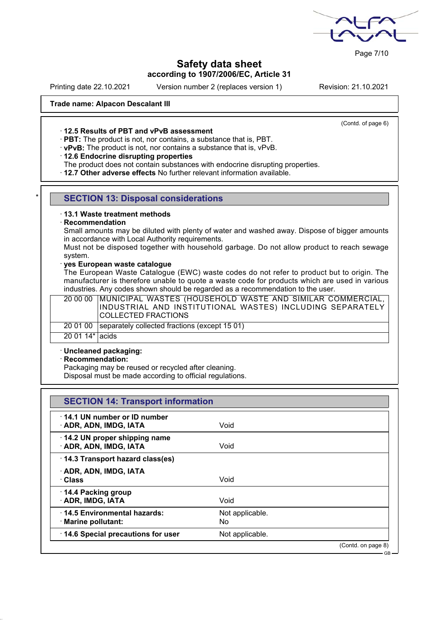

Page 7/10

## **Safety data sheet according to 1907/2006/EC, Article 31**

Printing date 22.10.2021 Version number 2 (replaces version 1) Revision: 21.10.2021

(Contd. of page 6)

### **Trade name: Alpacon Descalant III**

· **12.5 Results of PBT and vPvB assessment**

· **PBT:** The product is not, nor contains, a substance that is, PBT.

· **vPvB:** The product is not, nor contains a substance that is, vPvB.

#### · **12.6 Endocrine disrupting properties**

The product does not contain substances with endocrine disrupting properties.

· **12.7 Other adverse effects** No further relevant information available.

## **SECTION 13: Disposal considerations**

### · **13.1 Waste treatment methods**

#### · **Recommendation**

Small amounts may be diluted with plenty of water and washed away. Dispose of bigger amounts in accordance with Local Authority requirements.

Must not be disposed together with household garbage. Do not allow product to reach sewage system.

#### · **yes European waste catalogue**

The European Waste Catalogue (EWC) waste codes do not refer to product but to origin. The manufacturer is therefore unable to quote a waste code for products which are used in various industries. Any codes shown should be regarded as a recommendation to the user.

|                 | 20 00 00   MUNICIPAL WASTES (HOUSEHOLD WASTE AND SIMILAR COMMERCIAL,  <br>INDUSTRIAL AND INSTITUTIONAL WASTES) INCLUDING SEPARATELY  <br><b>COLLECTED FRACTIONS</b> |
|-----------------|---------------------------------------------------------------------------------------------------------------------------------------------------------------------|
|                 | 20 01 00 Separately collected fractions (except 15 01)                                                                                                              |
| 20 01 14* acids |                                                                                                                                                                     |

#### · **Uncleaned packaging:**

· **Recommendation:**

Packaging may be reused or recycled after cleaning.

Disposal must be made according to official regulations.

| <b>SECTION 14: Transport information</b>                       |                        |                              |
|----------------------------------------------------------------|------------------------|------------------------------|
| 14.1 UN number or ID number<br>· ADR, ADN, IMDG, IATA          | Void                   |                              |
| $\cdot$ 14.2 UN proper shipping name<br>· ADR, ADN, IMDG, IATA | Void                   |                              |
| 14.3 Transport hazard class(es)                                |                        |                              |
| · ADR, ADN, IMDG, IATA<br>· Class                              | Void                   |                              |
| 14.4 Packing group<br><b>ADR, IMDG, IATA</b>                   | Void                   |                              |
| 14.5 Environmental hazards:<br>· Marine pollutant:             | Not applicable.<br>No. |                              |
| 14.6 Special precautions for user                              | Not applicable.        |                              |
|                                                                |                        | (Contd. on page 8)<br>- GB — |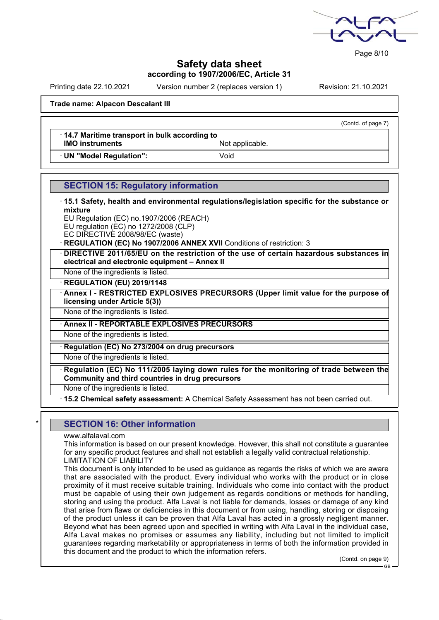

Page 8/10

## **Safety data sheet according to 1907/2006/EC, Article 31**

Printing date 22.10.2021 Version number 2 (replaces version 1) Revision: 21.10.2021

(Contd. of page 7)

#### **Trade name: Alpacon Descalant III**

· **14.7 Maritime transport in bulk according to IMO instruments** Not applicable.

· **UN "Model Regulation":** Void

## **SECTION 15: Regulatory information**

· **15.1 Safety, health and environmental regulations/legislation specific for the substance or mixture**

EU Regulation (EC) no.1907/2006 (REACH)

EU regulation (EC) no 1272/2008 (CLP) EC DIRECTIVE 2008/98/EC (waste)

**REGULATION (EC) No 1907/2006 ANNEX XVII** Conditions of restriction: 3

· **DIRECTIVE 2011/65/EU on the restriction of the use of certain hazardous substances in electrical and electronic equipment – Annex II**

None of the ingredients is listed.

· **REGULATION (EU) 2019/1148**

· **Annex I - RESTRICTED EXPLOSIVES PRECURSORS (Upper limit value for the purpose of licensing under Article 5(3))**

None of the ingredients is listed.

## · **Annex II - REPORTABLE EXPLOSIVES PRECURSORS**

None of the ingredients is listed.

· **Regulation (EC) No 273/2004 on drug precursors**

None of the ingredients is listed.

· **Regulation (EC) No 111/2005 laying down rules for the monitoring of trade between the Community and third countries in drug precursors**

None of the ingredients is listed.

· **15.2 Chemical safety assessment:** A Chemical Safety Assessment has not been carried out.

## **SECTION 16: Other information**

www.alfalaval.com

This information is based on our present knowledge. However, this shall not constitute a guarantee for any specific product features and shall not establish a legally valid contractual relationship. LIMITATION OF LIABILITY

This document is only intended to be used as guidance as regards the risks of which we are aware that are associated with the product. Every individual who works with the product or in close proximity of it must receive suitable training. Individuals who come into contact with the product must be capable of using their own judgement as regards conditions or methods for handling, storing and using the product. Alfa Laval is not liable for demands, losses or damage of any kind that arise from flaws or deficiencies in this document or from using, handling, storing or disposing of the product unless it can be proven that Alfa Laval has acted in a grossly negligent manner. Beyond what has been agreed upon and specified in writing with Alfa Laval in the individual case, Alfa Laval makes no promises or assumes any liability, including but not limited to implicit guarantees regarding marketability or appropriateness in terms of both the information provided in this document and the product to which the information refers.

(Contd. on page 9)

GB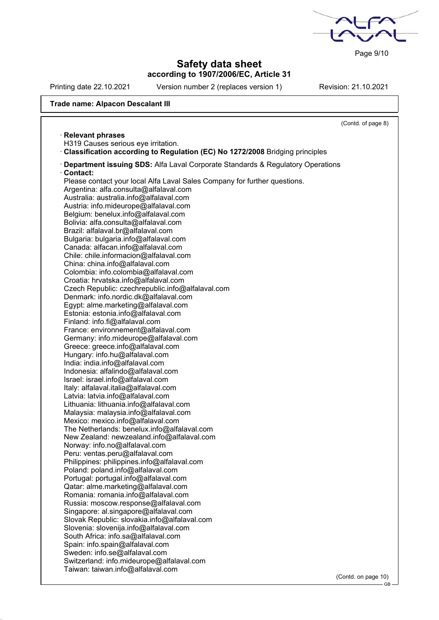Page 9/10

GB

## **Safety data sheet according to 1907/2006/EC, Article 31**

Printing date 22.10.2021 Version number 2 (replaces version 1) Revision: 21.10.2021

## **Trade name: Alpacon Descalant III**

|                                                                                       | (Contd. of page 8)  |
|---------------------------------------------------------------------------------------|---------------------|
| <b>Relevant phrases</b>                                                               |                     |
| H319 Causes serious eye irritation.                                                   |                     |
| Classification according to Regulation (EC) No 1272/2008 Bridging principles          |                     |
| · Department issuing SDS: Alfa Laval Corporate Standards & Regulatory Operations      |                     |
| Contact:                                                                              |                     |
| Please contact your local Alfa Laval Sales Company for further questions.             |                     |
| Argentina: alfa.consulta@alfalaval.com                                                |                     |
| Australia: australia.info@alfalaval.com                                               |                     |
| Austria: info.mideurope@alfalaval.com                                                 |                     |
| Belgium: benelux.info@alfalaval.com                                                   |                     |
| Bolivia: alfa.consulta@alfalaval.com                                                  |                     |
| Brazil: alfalaval.br@alfalaval.com                                                    |                     |
| Bulgaria: bulgaria.info@alfalaval.com                                                 |                     |
| Canada: alfacan.info@alfalaval.com                                                    |                     |
| Chile: chile.informacion@alfalaval.com                                                |                     |
| China: china.info@alfalaval.com                                                       |                     |
| Colombia: info.colombia@alfalaval.com                                                 |                     |
| Croatia: hrvatska.info@alfalaval.com                                                  |                     |
| Czech Republic: czechrepublic.info@alfalaval.com                                      |                     |
| Denmark: info.nordic.dk@alfalaval.com                                                 |                     |
| Egypt: alme.marketing@alfalaval.com                                                   |                     |
| Estonia: estonia.info@alfalaval.com                                                   |                     |
| Finland: info.fi@alfalaval.com                                                        |                     |
| France: environnement@alfalaval.com                                                   |                     |
| Germany: info.mideurope@alfalaval.com                                                 |                     |
| Greece: greece.info@alfalaval.com                                                     |                     |
| Hungary: info.hu@alfalaval.com                                                        |                     |
| India: india.info@alfalaval.com                                                       |                     |
| Indonesia: alfalindo@alfalaval.com                                                    |                     |
| Israel: israel.info@alfalaval.com                                                     |                     |
| Italy: alfalaval.italia@alfalaval.com                                                 |                     |
| Latvia: latvia.info@alfalaval.com                                                     |                     |
| Lithuania: lithuania.info@alfalaval.com                                               |                     |
| Malaysia: malaysia.info@alfalaval.com                                                 |                     |
| Mexico: mexico.info@alfalaval.com                                                     |                     |
| The Netherlands: benelux.info@alfalaval.com                                           |                     |
| New Zealand: newzealand.info@alfalaval.com                                            |                     |
| Norway: info.no@alfalaval.com                                                         |                     |
| Peru: ventas.peru@alfalaval.com                                                       |                     |
| Philippines: philippines.info@alfalaval.com                                           |                     |
| Poland: poland.info@alfalaval.com                                                     |                     |
| Portugal: portugal.info@alfalaval.com                                                 |                     |
| Qatar: alme.marketing@alfalaval.com<br>Romania: romania.info@alfalaval.com            |                     |
|                                                                                       |                     |
| Russia: moscow.response@alfalaval.com                                                 |                     |
| Singapore: al.singapore@alfalaval.com<br>Slovak Republic: slovakia.info@alfalaval.com |                     |
| Slovenia: slovenija.info@alfalaval.com                                                |                     |
| South Africa: info.sa@alfalaval.com                                                   |                     |
| Spain: info.spain@alfalaval.com                                                       |                     |
| Sweden: info.se@alfalaval.com                                                         |                     |
| Switzerland: info.mideurope@alfalaval.com                                             |                     |
| Taiwan: taiwan.info@alfalaval.com                                                     |                     |
|                                                                                       | (Contd. on page 10) |
|                                                                                       |                     |